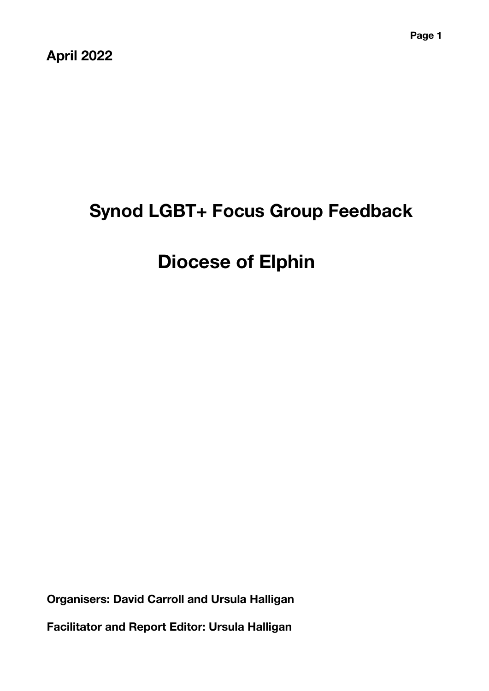**April 2022** 

# **Synod LGBT+ Focus Group Feedback**

# **Diocese of Elphin**

**Organisers: David Carroll and Ursula Halligan** 

**Facilitator and Report Editor: Ursula Halligan**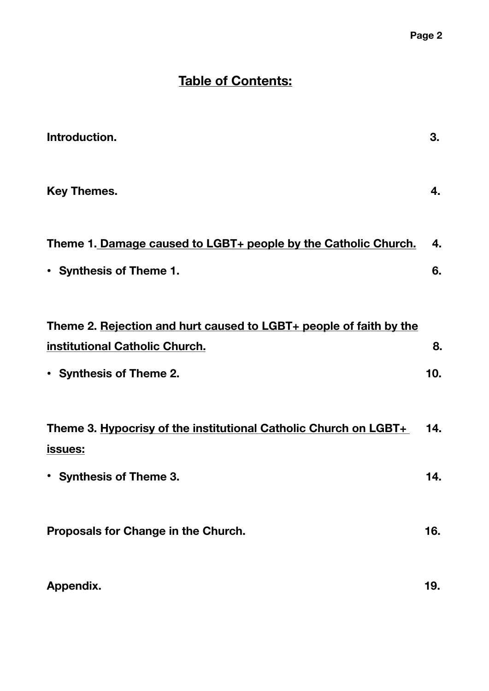### **Table of Contents:**

| Introduction.                                                               | 3.  |
|-----------------------------------------------------------------------------|-----|
| <b>Key Themes.</b>                                                          | 4.  |
| Theme 1. Damage caused to LGBT+ people by the Catholic Church.              | 4.  |
| • Synthesis of Theme 1.                                                     | 6.  |
| Theme 2. Rejection and hurt caused to LGBT+ people of faith by the          |     |
| institutional Catholic Church.                                              | 8.  |
| • Synthesis of Theme 2.                                                     | 10. |
| Theme 3. Hypocrisy of the institutional Catholic Church on LGBT+<br>issues: | 14. |
| • Synthesis of Theme 3.                                                     | 14. |
| Proposals for Change in the Church.                                         | 16. |
| Appendix.                                                                   | 19. |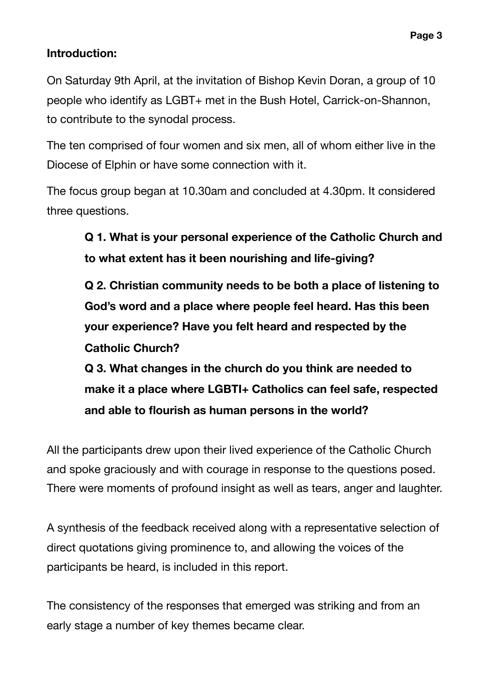#### **Introduction:**

On Saturday 9th April, at the invitation of Bishop Kevin Doran, a group of 10 people who identify as LGBT+ met in the Bush Hotel, Carrick-on-Shannon, to contribute to the synodal process.

The ten comprised of four women and six men, all of whom either live in the Diocese of Elphin or have some connection with it.

The focus group began at 10.30am and concluded at 4.30pm. It considered three questions.

**Q 1. What is your personal experience of the Catholic Church and to what extent has it been nourishing and life-giving?** 

**Q 2. Christian community needs to be both a place of listening to God's word and a place where people feel heard. Has this been your experience? Have you felt heard and respected by the Catholic Church?** 

**Q 3. What changes in the church do you think are needed to make it a place where LGBTI+ Catholics can feel safe, respected and able to flourish as human persons in the world?** 

All the participants drew upon their lived experience of the Catholic Church and spoke graciously and with courage in response to the questions posed. There were moments of profound insight as well as tears, anger and laughter.

A synthesis of the feedback received along with a representative selection of direct quotations giving prominence to, and allowing the voices of the participants be heard, is included in this report.

The consistency of the responses that emerged was striking and from an early stage a number of key themes became clear.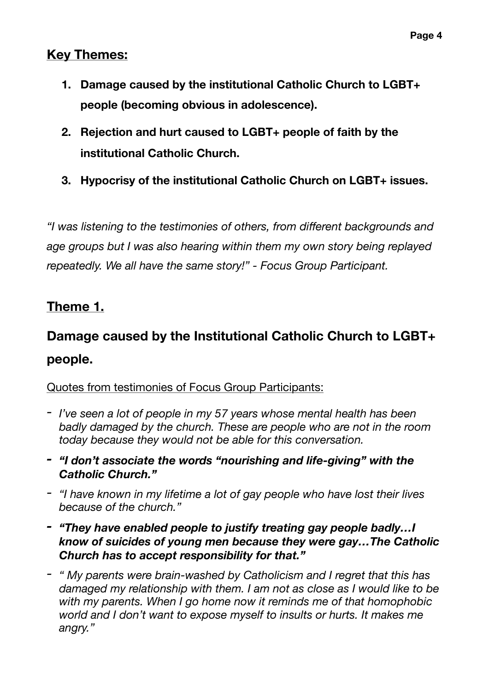### **Key Themes:**

- **1. Damage caused by the institutional Catholic Church to LGBT+ people (becoming obvious in adolescence).**
- **2. Rejection and hurt caused to LGBT+ people of faith by the institutional Catholic Church.**
- **3. Hypocrisy of the institutional Catholic Church on LGBT+ issues.**

*"I was listening to the testimonies of others, from different backgrounds and age groups but I was also hearing within them my own story being replayed repeatedly. We all have the same story!" - Focus Group Participant.* 

### **Theme 1.**

# **Damage caused by the Institutional Catholic Church to LGBT+ people.**

#### Quotes from testimonies of Focus Group Participants:

- *- I've seen a lot of people in my 57 years whose mental health has been badly damaged by the church. These are people who are not in the room today because they would not be able for this conversation.*
- *- "I don't associate the words "nourishing and life-giving" with the Catholic Church."*
- *- "I have known in my lifetime a lot of gay people who have lost their lives because of the church."*
- *- "They have enabled people to justify treating gay people badly…I know of suicides of young men because they were gay…The Catholic Church has to accept responsibility for that."*
- *- " My parents were brain-washed by Catholicism and I regret that this has damaged my relationship with them. I am not as close as I would like to be with my parents. When I go home now it reminds me of that homophobic world and I don't want to expose myself to insults or hurts. It makes me angry."*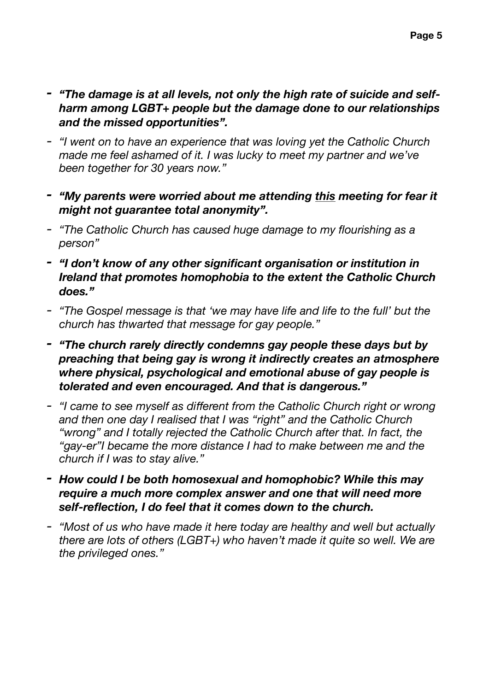- *- "The damage is at all levels, not only the high rate of suicide and selfharm among LGBT+ people but the damage done to our relationships and the missed opportunities".*
- *- "I went on to have an experience that was loving yet the Catholic Church made me feel ashamed of it. I was lucky to meet my partner and we've been together for 30 years now."*
- *- "My parents were worried about me attending this meeting for fear it might not guarantee total anonymity".*
- *- "The Catholic Church has caused huge damage to my flourishing as a person"*
- *- "I don't know of any other significant organisation or institution in Ireland that promotes homophobia to the extent the Catholic Church does."*
- *- "The Gospel message is that 'we may have life and life to the full' but the church has thwarted that message for gay people."*
- *- "The church rarely directly condemns gay people these days but by preaching that being gay is wrong it indirectly creates an atmosphere where physical, psychological and emotional abuse of gay people is tolerated and even encouraged. And that is dangerous."*
- *- "I came to see myself as different from the Catholic Church right or wrong and then one day I realised that I was "right" and the Catholic Church "wrong" and I totally rejected the Catholic Church after that. In fact, the "gay-er"I became the more distance I had to make between me and the church if I was to stay alive."*
- *- How could I be both homosexual and homophobic? While this may require a much more complex answer and one that will need more self-reflection, I do feel that it comes down to the church.*
- *- "Most of us who have made it here today are healthy and well but actually there are lots of others (LGBT+) who haven't made it quite so well. We are the privileged ones."*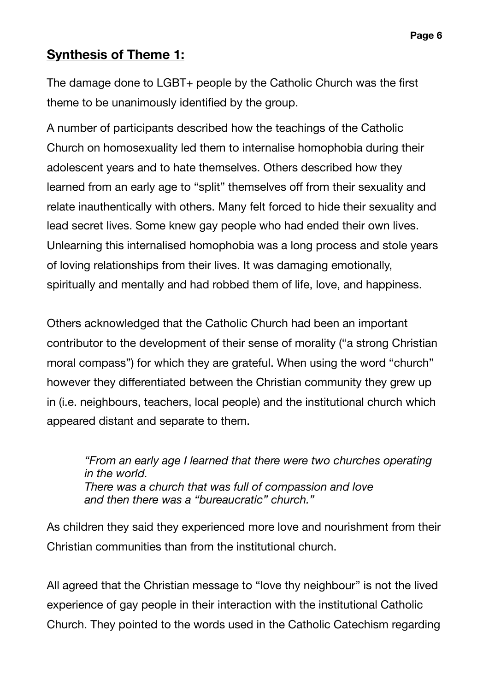### **Synthesis of Theme 1:**

The damage done to LGBT+ people by the Catholic Church was the first theme to be unanimously identified by the group.

A number of participants described how the teachings of the Catholic Church on homosexuality led them to internalise homophobia during their adolescent years and to hate themselves. Others described how they learned from an early age to "split" themselves off from their sexuality and relate inauthentically with others. Many felt forced to hide their sexuality and lead secret lives. Some knew gay people who had ended their own lives. Unlearning this internalised homophobia was a long process and stole years of loving relationships from their lives. It was damaging emotionally, spiritually and mentally and had robbed them of life, love, and happiness.

Others acknowledged that the Catholic Church had been an important contributor to the development of their sense of morality ("a strong Christian moral compass") for which they are grateful. When using the word "church" however they differentiated between the Christian community they grew up in (i.e. neighbours, teachers, local people) and the institutional church which appeared distant and separate to them.

*"From an early age I learned that there were two churches operating in the world. There was a church that was full of compassion and love and then there was a "bureaucratic" church."* 

As children they said they experienced more love and nourishment from their Christian communities than from the institutional church.

All agreed that the Christian message to "love thy neighbour" is not the lived experience of gay people in their interaction with the institutional Catholic Church. They pointed to the words used in the Catholic Catechism regarding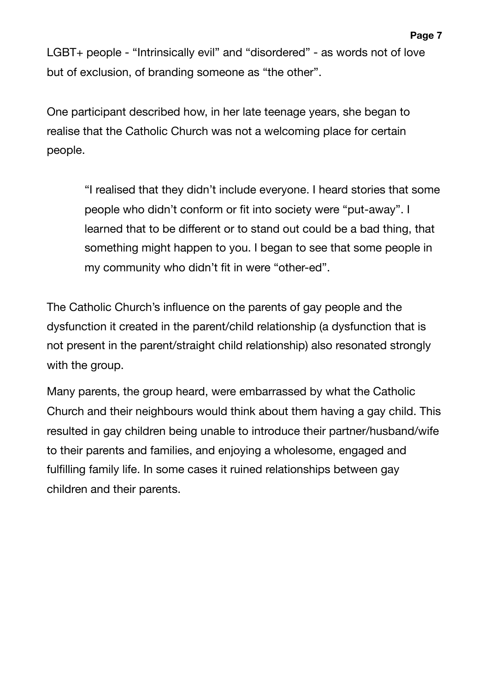LGBT+ people - "Intrinsically evil" and "disordered" - as words not of love but of exclusion, of branding someone as "the other".

One participant described how, in her late teenage years, she began to realise that the Catholic Church was not a welcoming place for certain people.

> "I realised that they didn't include everyone. I heard stories that some people who didn't conform or fit into society were "put-away". I learned that to be different or to stand out could be a bad thing, that something might happen to you. I began to see that some people in my community who didn't fit in were "other-ed".

The Catholic Church's influence on the parents of gay people and the dysfunction it created in the parent/child relationship (a dysfunction that is not present in the parent/straight child relationship) also resonated strongly with the group.

Many parents, the group heard, were embarrassed by what the Catholic Church and their neighbours would think about them having a gay child. This resulted in gay children being unable to introduce their partner/husband/wife to their parents and families, and enjoying a wholesome, engaged and fulfilling family life. In some cases it ruined relationships between gay children and their parents.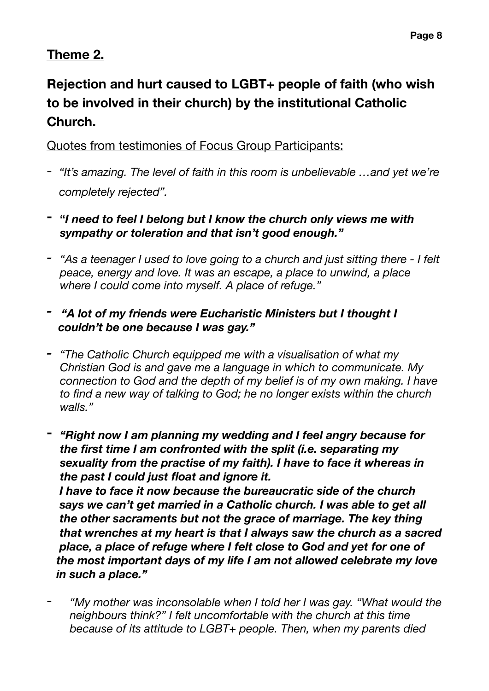## **Theme 2.**

## **Rejection and hurt caused to LGBT+ people of faith (who wish to be involved in their church) by the institutional Catholic Church.**

Quotes from testimonies of Focus Group Participants:

- *- "It's amazing. The level of faith in this room is unbelievable …and yet we're completely rejected".*
- **- "***I need to feel I belong but I know the church only views me with sympathy or toleration and that isn't good enough."*
- *- "As a teenager I used to love going to a church and just sitting there I felt peace, energy and love. It was an escape, a place to unwind, a place where I could come into myself. A place of refuge."*
- *"A lot of my friends were Eucharistic Ministers but I thought I couldn't be one because I was gay."*
- *- "The Catholic Church equipped me with a visualisation of what my Christian God is and gave me a language in which to communicate. My connection to God and the depth of my belief is of my own making. I have to find a new way of talking to God; he no longer exists within the church walls."*
- **-** *"Right now I am planning my wedding and I feel angry because for the first time I am confronted with the split (i.e. separating my sexuality from the practise of my faith). I have to face it whereas in the past I could just float and ignore it.*

 *I have to face it now because the bureaucratic side of the church says we can't get married in a Catholic church. I was able to get all the other sacraments but not the grace of marriage. The key thing that wrenches at my heart is that I always saw the church as a sacred place, a place of refuge where I felt close to God and yet for one of the most important days of my life I am not allowed celebrate my love in such a place."* 

*- "My mother was inconsolable when I told her I was gay. "What would the neighbours think?" I felt uncomfortable with the church at this time because of its attitude to LGBT+ people. Then, when my parents died*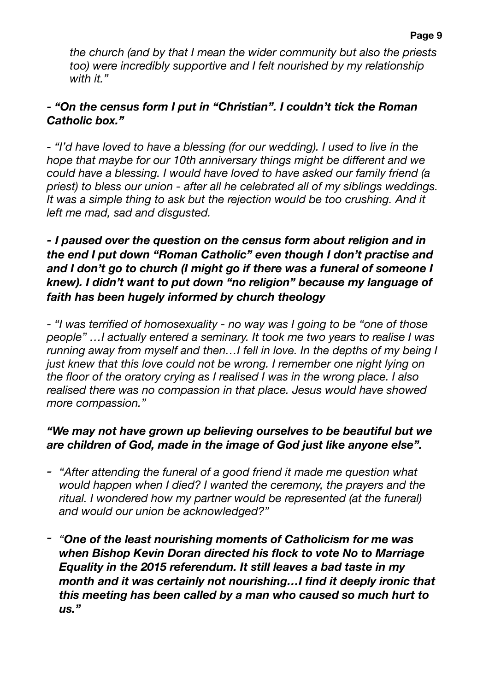*the church (and by that I mean the wider community but also the priests too) were incredibly supportive and I felt nourished by my relationship with it."* 

#### *- "On the census form I put in "Christian". I couldn't tick the Roman Catholic box."*

- "I'd have loved to have a blessing (for our wedding). I used to live in the *hope that maybe for our 10th anniversary things might be different and we could have a blessing. I would have loved to have asked our family friend (a priest) to bless our union - after all he celebrated all of my siblings weddings.*  It was a simple thing to ask but the rejection would be too crushing. And it *left me mad, sad and disgusted.* 

#### *- I paused over the question on the census form about religion and in the end I put down "Roman Catholic" even though I don't practise and and I don't go to church (I might go if there was a funeral of someone I knew). I didn't want to put down "no religion" because my language of faith has been hugely informed by church theology*

*- "I was terrified of homosexuality - no way was I going to be "one of those people" …I actually entered a seminary. It took me two years to realise I was running away from myself and then…I fell in love. In the depths of my being I just knew that this love could not be wrong. I remember one night lying on the floor of the oratory crying as I realised I was in the wrong place. I also realised there was no compassion in that place. Jesus would have showed more compassion."* 

#### *"We may not have grown up believing ourselves to be beautiful but we are children of God, made in the image of God just like anyone else".*

- *- "After attending the funeral of a good friend it made me question what would happen when I died? I wanted the ceremony, the prayers and the ritual. I wondered how my partner would be represented (at the funeral) and would our union be acknowledged?"*
- *- "One of the least nourishing moments of Catholicism for me was when Bishop Kevin Doran directed his flock to vote No to Marriage Equality in the 2015 referendum. It still leaves a bad taste in my month and it was certainly not nourishing…I find it deeply ironic that this meeting has been called by a man who caused so much hurt to us."*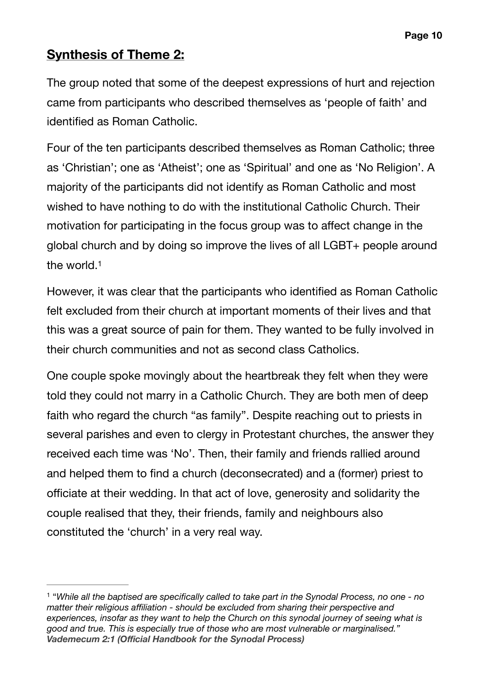### **Synthesis of Theme 2:**

The group noted that some of the deepest expressions of hurt and rejection came from participants who described themselves as 'people of faith' and identified as Roman Catholic.

Four of the ten participants described themselves as Roman Catholic; three as 'Christian'; one as 'Atheist'; one as 'Spiritual' and one as 'No Religion'. A majority of the participants did not identify as Roman Catholic and most wished to have nothing to do with the institutional Catholic Church. Their motivation for participating in the focus group was to affect change in the global church and by doing so improve the lives of all LGBT+ people around the world[.1](#page-9-0)

<span id="page-9-1"></span>However, it was clear that the participants who identified as Roman Catholic felt excluded from their church at important moments of their lives and that this was a great source of pain for them. They wanted to be fully involved in their church communities and not as second class Catholics.

One couple spoke movingly about the heartbreak they felt when they were told they could not marry in a Catholic Church. They are both men of deep faith who regard the church "as family". Despite reaching out to priests in several parishes and even to clergy in Protestant churches, the answer they received each time was 'No'. Then, their family and friends rallied around and helped them to find a church (deconsecrated) and a (former) priest to officiate at their wedding. In that act of love, generosity and solidarity the couple realised that they, their friends, family and neighbours also constituted the 'church' in a very real way.

<span id="page-9-0"></span><sup>&</sup>lt;sup>[1](#page-9-1)</sup> "While all the baptised are specifically called to take part in the Synodal Process, no one - no *matter their religious affiliation - should be excluded from sharing their perspective and experiences, insofar as they want to help the Church on this synodal journey of seeing what is good and true. This is especially true of those who are most vulnerable or marginalised." Vademecum 2:1 (Official Handbook for the Synodal Process)*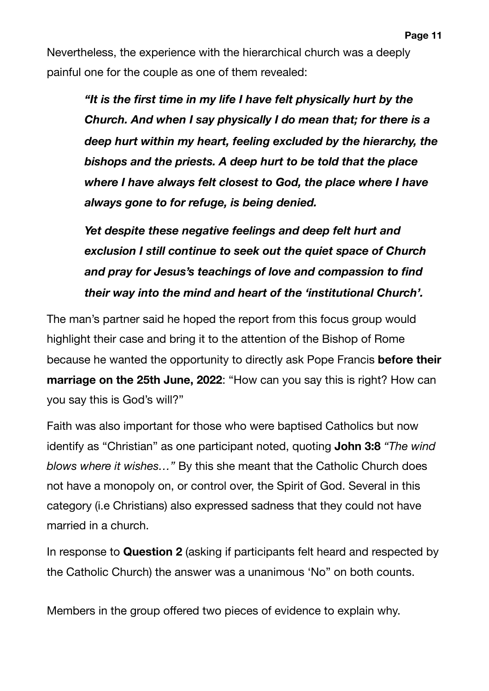Nevertheless, the experience with the hierarchical church was a deeply painful one for the couple as one of them revealed:

> *"It is the first time in my life I have felt physically hurt by the Church. And when I say physically I do mean that; for there is a deep hurt within my heart, feeling excluded by the hierarchy, the bishops and the priests. A deep hurt to be told that the place where I have always felt closest to God, the place where I have always gone to for refuge, is being denied.*

*Yet despite these negative feelings and deep felt hurt and exclusion I still continue to seek out the quiet space of Church and pray for Jesus's teachings of love and compassion to find their way into the mind and heart of the 'institutional Church'.* 

The man's partner said he hoped the report from this focus group would highlight their case and bring it to the attention of the Bishop of Rome because he wanted the opportunity to directly ask Pope Francis **before their marriage on the 25th June, 2022**: "How can you say this is right? How can you say this is God's will?"

Faith was also important for those who were baptised Catholics but now identify as "Christian" as one participant noted, quoting **John 3:8** *"The wind blows where it wishes…"* By this she meant that the Catholic Church does not have a monopoly on, or control over, the Spirit of God. Several in this category (i.e Christians) also expressed sadness that they could not have married in a church.

In response to **Question 2** (asking if participants felt heard and respected by the Catholic Church) the answer was a unanimous 'No" on both counts.

Members in the group offered two pieces of evidence to explain why.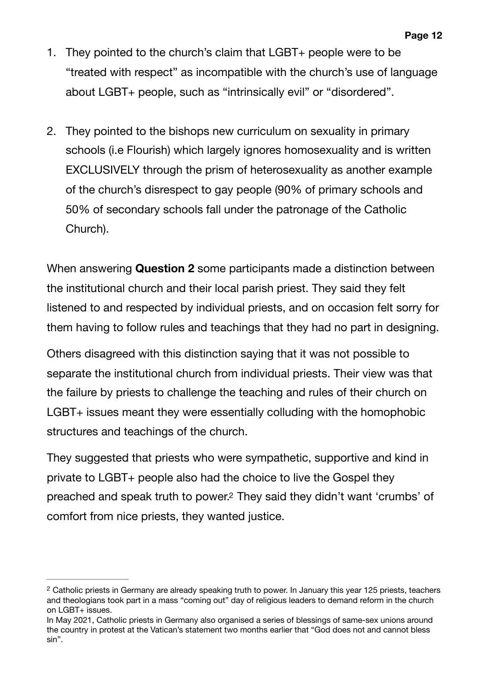- 1. They pointed to the church's claim that LGBT+ people were to be "treated with respect" as incompatible with the church's use of language about LGBT+ people, such as "intrinsically evil" or "disordered".
- 2. They pointed to the bishops new curriculum on sexuality in primary schools (i.e Flourish) which largely ignores homosexuality and is written EXCLUSIVELY through the prism of heterosexuality as another example of the church's disrespect to gay people (90% of primary schools and 50% of secondary schools fall under the patronage of the Catholic Church).

When answering **Question 2** some participants made a distinction between the institutional church and their local parish priest. They said they felt listened to and respected by individual priests, and on occasion felt sorry for them having to follow rules and teachings that they had no part in designing.

Others disagreed with this distinction saying that it was not possible to separate the institutional church from individual priests. Their view was that the failure by priests to challenge the teaching and rules of their church on LGBT+ issues meant they were essentially colluding with the homophobic structures and teachings of the church.

<span id="page-11-1"></span>They suggested that priests who were sympathetic, supportive and kind in private to LGBT+ people also had the choice to live the Gospel they preached and speak truth to power.<sup>[2](#page-11-0)</sup> They said they didn't want 'crumbs' of comfort from nice priests, they wanted justice.

<span id="page-11-0"></span><sup>&</sup>lt;sup>[2](#page-11-1)</sup> Catholic priests in Germany are already speaking truth to power. In January this year 125 priests, teachers and theologians took part in a mass "coming out" day of religious leaders to demand reform in the church on LGBT+ issues.

In May 2021, Catholic priests in Germany also organised a series of blessings of same-sex unions around the country in protest at the Vatican's statement two months earlier that "God does not and cannot bless sin".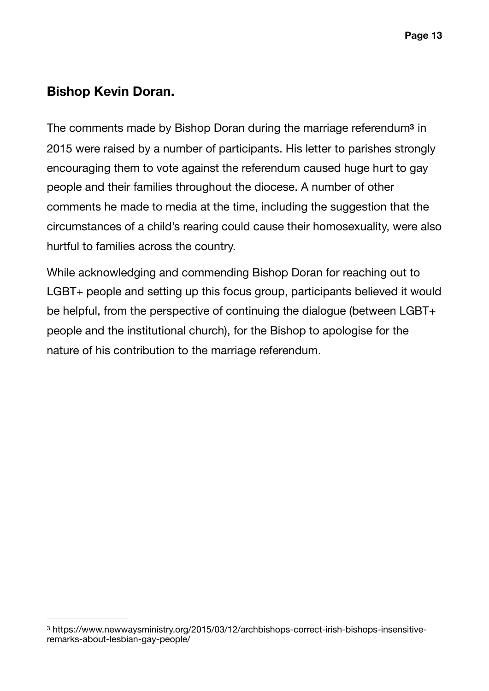#### **Bishop Kevin Doran.**

<span id="page-12-1"></span>The co[m](#page-12-0)ments made by Bishop Doran during the marriage referendum<sup>3</sup> in 2015 were raised by a number of participants. His letter to parishes strongly encouraging them to vote against the referendum caused huge hurt to gay people and their families throughout the diocese. A number of other comments he made to media at the time, including the suggestion that the circumstances of a child's rearing could cause their homosexuality, were also hurtful to families across the country.

While acknowledging and commending Bishop Doran for reaching out to LGBT+ people and setting up this focus group, participants believed it would be helpful, from the perspective of continuing the dialogue (between LGBT+ people and the institutional church), for the Bishop to apologise for the nature of his contribution to the marriage referendum.

<span id="page-12-0"></span>https://www.newwaysministry.org/2015/03/12/archbishops-correct-irish-bishops-insensitive- [3](#page-12-1) remarks-about-lesbian-gay-people/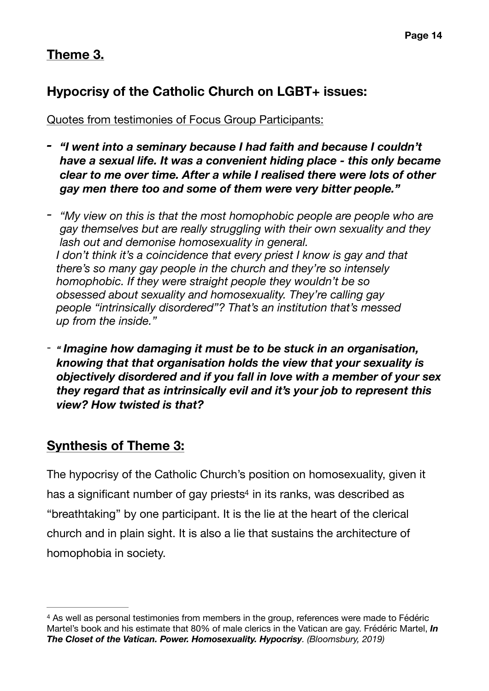### **Theme 3.**

### **Hypocrisy of the Catholic Church on LGBT+ issues:**

Quotes from testimonies of Focus Group Participants:

- *- "I went into a seminary because I had faith and because I couldn't have a sexual life. It was a convenient hiding place - this only became clear to me over time. After a while I realised there were lots of other gay men there too and some of them were very bitter people."*
- *- "My view on this is that the most homophobic people are people who are gay themselves but are really struggling with their own sexuality and they lash out and demonise homosexuality in general. I don't think it's a coincidence that every priest I know is gay and that there's so many gay people in the church and they're so intensely homophobic. If they were straight people they wouldn't be so obsessed about sexuality and homosexuality. They're calling gay people "intrinsically disordered"? That's an institution that's messed up from the inside."*
- *" Imagine how damaging it must be to be stuck in an organisation, knowing that that organisation holds the view that your sexuality is objectively disordered and if you fall in love with a member of your sex they regard that as intrinsically evil and it's your job to represent this view? How twisted is that?*

### **Synthesis of Theme 3:**

<span id="page-13-1"></span>The hypocrisy of the Catholic Church's position on homosexuality, given it ha[s](#page-13-0) a significant number of gay priests<sup>[4](#page-13-0)</sup> in its ranks, was described as "breathtaking" by one participant. It is the lie at the heart of the clerical church and in plain sight. It is also a lie that sustains the architecture of homophobia in society.

<span id="page-13-0"></span><sup>&</sup>lt;sup>[4](#page-13-1)</sup> As well as personal testimonies from members in the group, references were made to Fédéric Martel's book and his estimate that 80% of male clerics in the Vatican are gay. Frédéric Martel, *In The Closet of the Vatican. Power. Homosexuality. Hypocrisy. (Bloomsbury, 2019)*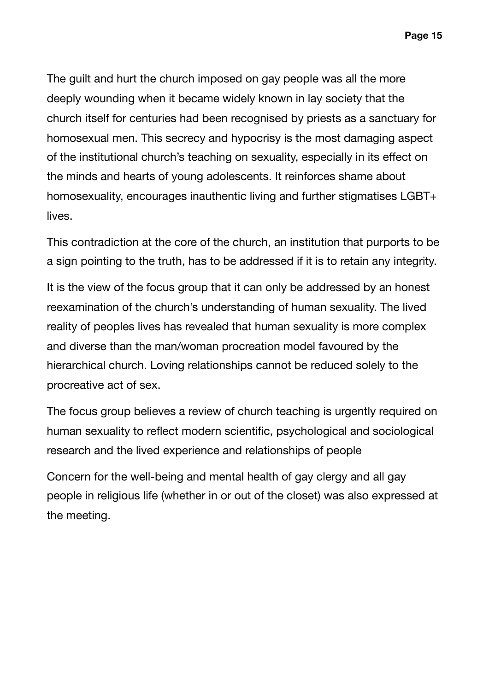The guilt and hurt the church imposed on gay people was all the more deeply wounding when it became widely known in lay society that the church itself for centuries had been recognised by priests as a sanctuary for homosexual men. This secrecy and hypocrisy is the most damaging aspect of the institutional church's teaching on sexuality, especially in its effect on the minds and hearts of young adolescents. It reinforces shame about homosexuality, encourages inauthentic living and further stigmatises LGBT+ lives.

This contradiction at the core of the church, an institution that purports to be a sign pointing to the truth, has to be addressed if it is to retain any integrity.

It is the view of the focus group that it can only be addressed by an honest reexamination of the church's understanding of human sexuality. The lived reality of peoples lives has revealed that human sexuality is more complex and diverse than the man/woman procreation model favoured by the hierarchical church. Loving relationships cannot be reduced solely to the procreative act of sex.

The focus group believes a review of church teaching is urgently required on human sexuality to reflect modern scientific, psychological and sociological research and the lived experience and relationships of people

Concern for the well-being and mental health of gay clergy and all gay people in religious life (whether in or out of the closet) was also expressed at the meeting.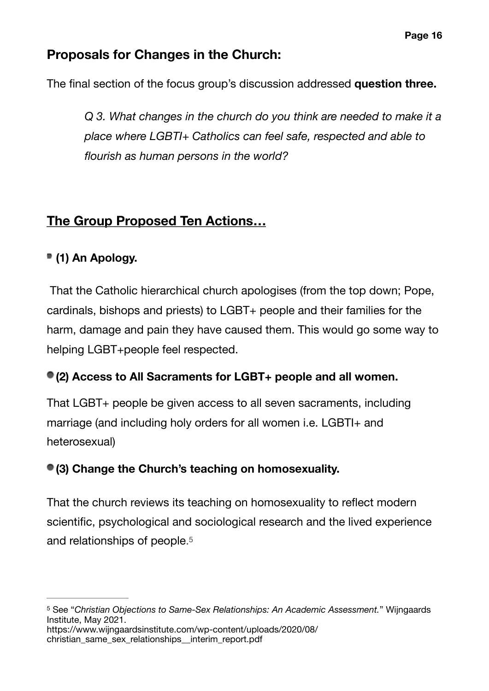### **Proposals for Changes in the Church:**

The final section of the focus group's discussion addressed **question three.** 

*Q 3. What changes in the church do you think are needed to make it a place where LGBTI+ Catholics can feel safe, respected and able to flourish as human persons in the world?* 

### **The Group Proposed Ten Actions…**

### **(1) An Apology.**

 That the Catholic hierarchical church apologises (from the top down; Pope, cardinals, bishops and priests) to LGBT+ people and their families for the harm, damage and pain they have caused them. This would go some way to helping LGBT+people feel respected.

#### **(2) Access to All Sacraments for LGBT+ people and all women.**

That LGBT+ people be given access to all seven sacraments, including marriage (and including holy orders for all women i.e. LGBTI+ and heterosexual)

#### **(3) Change the Church's teaching on homosexuality.**

<span id="page-15-1"></span>That the church reviews its teaching on homosexuality to reflect modern scientific, psychological and sociological research and the lived experience and relationships of people[.5](#page-15-0)

<span id="page-15-0"></span>See "*Christian Objections to Same-Sex Relationships: An Academic Assessment.*" Wijngaards [5](#page-15-1) Institute, May 2021. https://www.wijngaardsinstitute.com/wp-content/uploads/2020/08/ christian\_same\_sex\_relationships\_interim\_report.pdf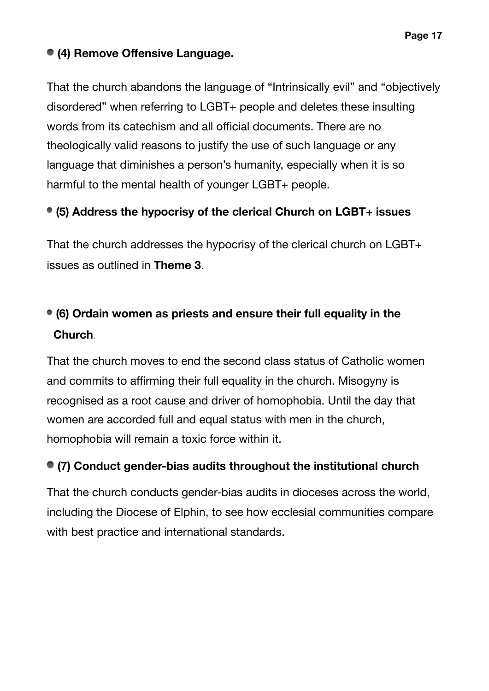#### **Page 17**

#### **(4) Remove Offensive Language.**

That the church abandons the language of "Intrinsically evil" and "objectively disordered" when referring to LGBT+ people and deletes these insulting words from its catechism and all official documents. There are no theologically valid reasons to justify the use of such language or any language that diminishes a person's humanity, especially when it is so harmful to the mental health of younger LGBT+ people.

#### **(5) Address the hypocrisy of the clerical Church on LGBT+ issues**

That the church addresses the hypocrisy of the clerical church on LGBT+ issues as outlined in **Theme 3**.

## **(6) Ordain women as priests and ensure their full equality in the Church**.

That the church moves to end the second class status of Catholic women and commits to affirming their full equality in the church. Misogyny is recognised as a root cause and driver of homophobia. Until the day that women are accorded full and equal status with men in the church, homophobia will remain a toxic force within it.

#### **(7) Conduct gender-bias audits throughout the institutional church**

That the church conducts gender-bias audits in dioceses across the world, including the Diocese of Elphin, to see how ecclesial communities compare with best practice and international standards.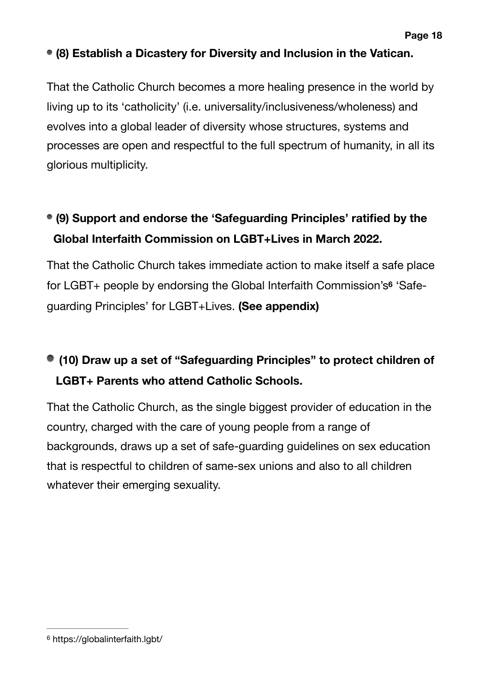#### **(8) Establish a Dicastery for Diversity and Inclusion in the Vatican.**

That the Catholic Church becomes a more healing presence in the world by living up to its 'catholicity' (i.e. universality/inclusiveness/wholeness) and evolves into a global leader of diversity whose structures, systems and processes are open and respectful to the full spectrum of humanity, in all its glorious multiplicity.

## **(9) Support and endorse the 'Safeguarding Principles' ratified by the Global Interfaith Commission on LGBT+Lives in March 2022.**

<span id="page-17-1"></span>That the Catholic Church takes immediate action to make itself a safe place for LGBT+ people by endorsing the Global Interfaith Commission's<sup>[6](#page-17-0)</sup> 'Safeguarding Principles' for LGBT+Lives. **(See appendix)** 

## **(10) Draw up a set of "Safeguarding Principles" to protect children of LGBT+ Parents who attend Catholic Schools.**

That the Catholic Church, as the single biggest provider of education in the country, charged with the care of young people from a range of backgrounds, draws up a set of safe-guarding guidelines on sex education that is respectful to children of same-sex unions and also to all children whatever their emerging sexuality.

<span id="page-17-0"></span>https://globalinterfaith.lgbt/ [6](#page-17-1)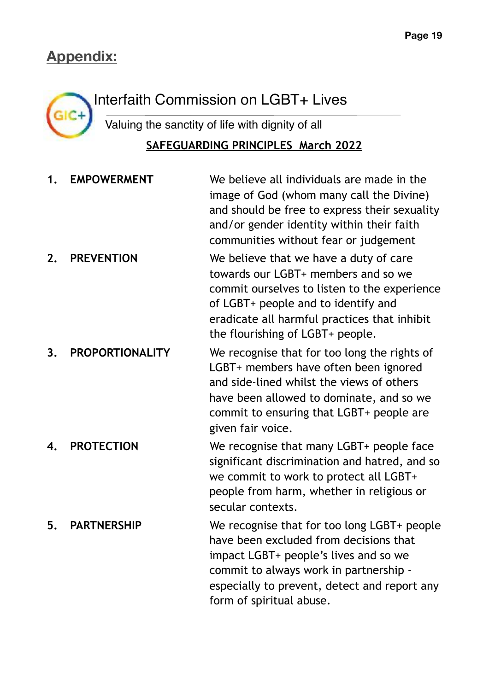## **Appendix:**



# Interfaith Commission on LGBT+ Lives

Valuing the sanctity of life with dignity of all **SAFEGUARDING PRINCIPLES March 2022** 

| 1. | <b>EMPOWERMENT</b>     | We believe all individuals are made in the<br>image of God (whom many call the Divine)<br>and should be free to express their sexuality<br>and/or gender identity within their faith<br>communities without fear or judgement                            |
|----|------------------------|----------------------------------------------------------------------------------------------------------------------------------------------------------------------------------------------------------------------------------------------------------|
| 2. | <b>PREVENTION</b>      | We believe that we have a duty of care<br>towards our LGBT+ members and so we<br>commit ourselves to listen to the experience<br>of LGBT+ people and to identify and<br>eradicate all harmful practices that inhibit<br>the flourishing of LGBT+ people. |
| 3. | <b>PROPORTIONALITY</b> | We recognise that for too long the rights of<br>LGBT+ members have often been ignored<br>and side-lined whilst the views of others<br>have been allowed to dominate, and so we<br>commit to ensuring that LGBT+ people are<br>given fair voice.          |
| 4. | <b>PROTECTION</b>      | We recognise that many LGBT+ people face<br>significant discrimination and hatred, and so<br>we commit to work to protect all LGBT+<br>people from harm, whether in religious or<br>secular contexts.                                                    |
| 5. | <b>PARTNERSHIP</b>     | We recognise that for too long LGBT+ people<br>have been excluded from decisions that<br>impact LGBT+ people's lives and so we<br>commit to always work in partnership -<br>especially to prevent, detect and report any<br>form of spiritual abuse.     |